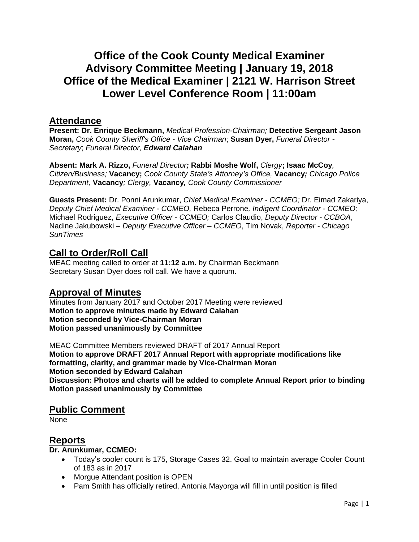# **Office of the Cook County Medical Examiner Advisory Committee Meeting | January 19, 2018 Office of the Medical Examiner | 2121 W. Harrison Street Lower Level Conference Room | 11:00am**

## **Attendance**

**Present: Dr. Enrique Beckmann,** *Medical Profession-Chairman;* **Detective Sergeant Jason Moran,** *Cook County Sheriff's Office - Vice Chairman*; **Susan Dyer,** *Funeral Director - Secretary*; *Funeral Director, Edward Calahan*

**Absent: Mark A. Rizzo,** *Funeral Director;* **Rabbi Moshe Wolf,** *Clergy***; Isaac McCoy***, Citizen/Business;* **Vacancy;** *Cook County State's Attorney's Office,* **Vacancy***; Chicago Police Department,* **Vacancy***; Clergy,* **Vacancy***, Cook County Commissioner*

**Guests Present:** Dr. Ponni Arunkumar, *Chief Medical Examiner - CCMEO;* Dr. Eimad Zakariya, *Deputy Chief Medical Examiner - CCMEO,* Rebeca Perrone*, Indigent Coordinator - CCMEO;* Michael Rodriguez, *Executive Officer - CCMEO;* Carlos Claudio, *Deputy Director - CCBOA*, Nadine Jakubowski – *Deputy Executive Officer – CCMEO*, Tim Novak, *Reporter - Chicago SunTimes*

# **Call to Order/Roll Call**

MEAC meeting called to order at **11:12 a.m.** by Chairman Beckmann Secretary Susan Dyer does roll call. We have a quorum.

# **Approval of Minutes**

Minutes from January 2017 and October 2017 Meeting were reviewed **Motion to approve minutes made by Edward Calahan Motion seconded by Vice-Chairman Moran Motion passed unanimously by Committee**

MEAC Committee Members reviewed DRAFT of 2017 Annual Report **Motion to approve DRAFT 2017 Annual Report with appropriate modifications like formatting, clarity, and grammar made by Vice-Chairman Moran Motion seconded by Edward Calahan Discussion: Photos and charts will be added to complete Annual Report prior to binding Motion passed unanimously by Committee**

# **Public Comment**

None

# **Reports**

#### **Dr. Arunkumar, CCMEO:**

- Today's cooler count is 175, Storage Cases 32. Goal to maintain average Cooler Count of 183 as in 2017
- Morgue Attendant position is OPEN
- Pam Smith has officially retired, Antonia Mayorga will fill in until position is filled